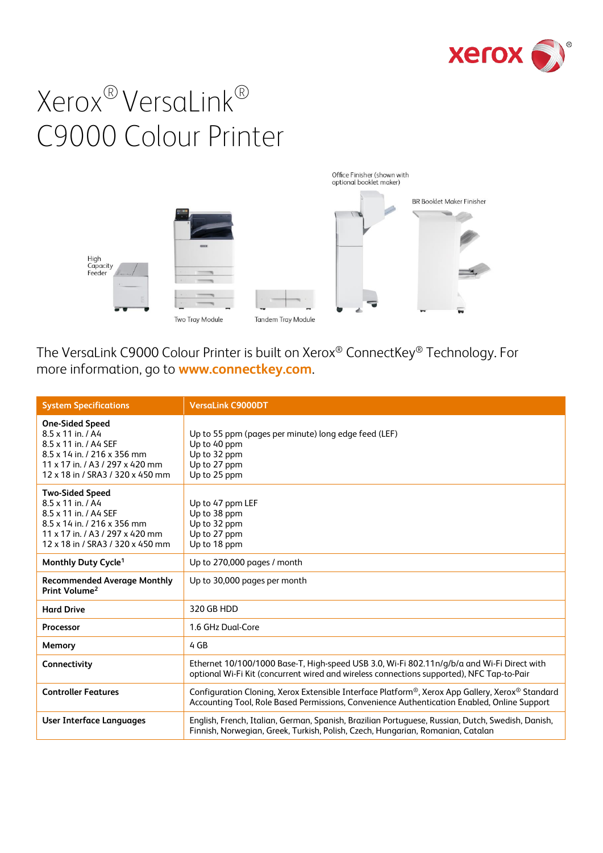



The VersaLink C9000 Colour Printer is built on Xerox® ConnectKey® Technology. For more information, go to **[www.connectkey.com](http://www.connectkey.com/)**.

| <b>System Specifications</b>                                                                                                                                               | <b>VersaLink C9000DT</b>                                                                                                                                                                                    |
|----------------------------------------------------------------------------------------------------------------------------------------------------------------------------|-------------------------------------------------------------------------------------------------------------------------------------------------------------------------------------------------------------|
| <b>One-Sided Speed</b><br>8.5 x 11 in. / A4<br>8.5 x 11 in. / A4 SEF<br>8.5 x 14 in. / 216 x 356 mm<br>11 x 17 in. / A3 / 297 x 420 mm<br>12 x 18 in / SRA3 / 320 x 450 mm | Up to 55 ppm (pages per minute) long edge feed (LEF)<br>Up to 40 ppm<br>Up to 32 ppm<br>Up to 27 ppm<br>Up to 25 ppm                                                                                        |
| <b>Two-Sided Speed</b><br>8.5 x 11 in. / A4<br>8.5 x 11 in. / A4 SEF<br>8.5 x 14 in. / 216 x 356 mm<br>11 x 17 in. / A3 / 297 x 420 mm<br>12 x 18 in / SRA3 / 320 x 450 mm | Up to 47 ppm LEF<br>Up to 38 ppm<br>Up to 32 ppm<br>Up to 27 ppm<br>Up to 18 ppm                                                                                                                            |
| Monthly Duty Cycle <sup>1</sup>                                                                                                                                            | Up to 270,000 pages / month                                                                                                                                                                                 |
| <b>Recommended Average Monthly</b><br>Print Volume <sup>2</sup>                                                                                                            | Up to 30,000 pages per month                                                                                                                                                                                |
| <b>Hard Drive</b>                                                                                                                                                          | 320 GB HDD                                                                                                                                                                                                  |
| Processor                                                                                                                                                                  | 1.6 GHz Dual-Core                                                                                                                                                                                           |
| Memory                                                                                                                                                                     | 4 GB                                                                                                                                                                                                        |
| Connectivity                                                                                                                                                               | Ethernet 10/100/1000 Base-T, High-speed USB 3.0, Wi-Fi 802.11n/g/b/a and Wi-Fi Direct with<br>optional Wi-Fi Kit (concurrent wired and wireless connections supported), NFC Tap-to-Pair                     |
| <b>Controller Features</b>                                                                                                                                                 | Configuration Cloning, Xerox Extensible Interface Platform <sup>®</sup> , Xerox App Gallery, Xerox® Standard<br>Accounting Tool, Role Based Permissions, Convenience Authentication Enabled, Online Support |
| <b>User Interface Languages</b>                                                                                                                                            | English, French, Italian, German, Spanish, Brazilian Portuguese, Russian, Dutch, Swedish, Danish,<br>Finnish, Norwegian, Greek, Turkish, Polish, Czech, Hungarian, Romanian, Catalan                        |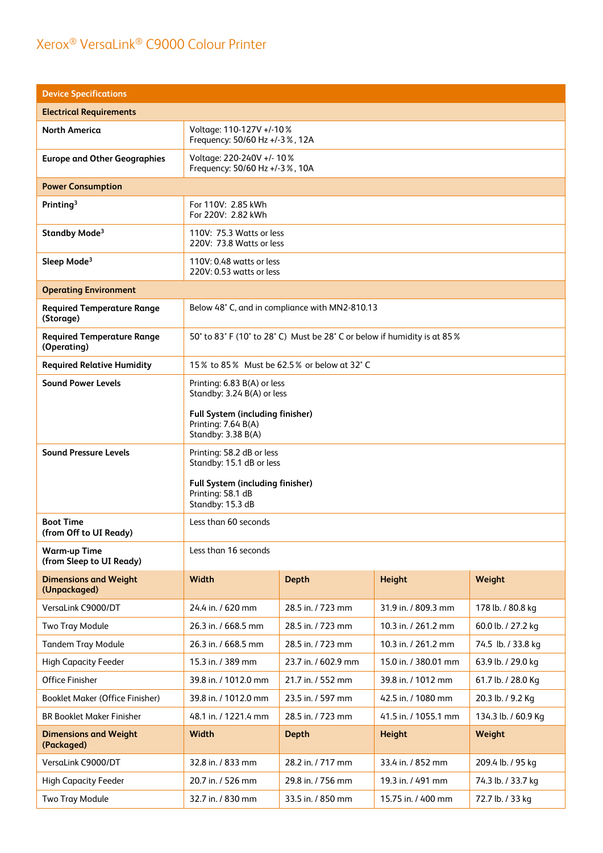| <b>Device Specifications</b>                     |                                                                                                                                            |                                                                          |                      |                     |
|--------------------------------------------------|--------------------------------------------------------------------------------------------------------------------------------------------|--------------------------------------------------------------------------|----------------------|---------------------|
| <b>Electrical Requirements</b>                   |                                                                                                                                            |                                                                          |                      |                     |
| <b>North America</b>                             | Voltage: 110-127V +/-10%<br>Frequency: 50/60 Hz +/-3 %, 12A                                                                                |                                                                          |                      |                     |
| <b>Europe and Other Geographies</b>              | Voltage: 220-240V +/- 10%<br>Frequency: 50/60 Hz +/-3 %, 10A                                                                               |                                                                          |                      |                     |
| <b>Power Consumption</b>                         |                                                                                                                                            |                                                                          |                      |                     |
| Printing <sup>3</sup>                            | For 110V: 2.85 kWh<br>For 220V: 2.82 kWh                                                                                                   |                                                                          |                      |                     |
| Standby Mode <sup>3</sup>                        | 110V: 75.3 Watts or less<br>220V: 73.8 Watts or less                                                                                       |                                                                          |                      |                     |
| Sleep Mode <sup>3</sup>                          | 110V: 0.48 watts or less<br>220V: 0.53 watts or less                                                                                       |                                                                          |                      |                     |
| <b>Operating Environment</b>                     |                                                                                                                                            |                                                                          |                      |                     |
| <b>Required Temperature Range</b><br>(Storage)   |                                                                                                                                            | Below 48° C, and in compliance with MN2-810.13                           |                      |                     |
| <b>Required Temperature Range</b><br>(Operating) |                                                                                                                                            | 50° to 83° F (10° to 28° C) Must be 28° C or below if humidity is at 85% |                      |                     |
| <b>Required Relative Humidity</b>                |                                                                                                                                            | 15% to 85% Must be 62.5% or below at 32°C                                |                      |                     |
| <b>Sound Power Levels</b>                        | Printing: 6.83 B(A) or less<br>Standby: 3.24 B(A) or less<br>Full System (including finisher)<br>Printing: 7.64 B(A)<br>Standby: 3.38 B(A) |                                                                          |                      |                     |
| <b>Sound Pressure Levels</b>                     | Printing: 58.2 dB or less<br>Standby: 15.1 dB or less<br>Full System (including finisher)<br>Printing: 58.1 dB<br>Standby: 15.3 dB         |                                                                          |                      |                     |
| <b>Boot Time</b><br>(from Off to UI Ready)       | Less than 60 seconds                                                                                                                       |                                                                          |                      |                     |
| <b>Warm-up Time</b><br>(from Sleep to UI Ready)  | Less than 16 seconds                                                                                                                       |                                                                          |                      |                     |
| <b>Dimensions and Weight</b><br>(Unpackaged)     | Width                                                                                                                                      | <b>Depth</b>                                                             | <b>Height</b>        | Weight              |
| VersaLink C9000/DT                               | 24.4 in. / 620 mm                                                                                                                          | 28.5 in. / 723 mm                                                        | 31.9 in. / 809.3 mm  | 178 lb. / 80.8 kg   |
| Two Tray Module                                  | 26.3 in. / 668.5 mm                                                                                                                        | 28.5 in. / 723 mm                                                        | 10.3 in. / 261.2 mm  | 60.0 lb. / 27.2 kg  |
| <b>Tandem Tray Module</b>                        | 26.3 in. / 668.5 mm                                                                                                                        | 28.5 in. / 723 mm                                                        | 10.3 in. / 261.2 mm  | 74.5 lb. / 33.8 kg  |
| <b>High Capacity Feeder</b>                      | 15.3 in. / 389 mm                                                                                                                          | 23.7 in. / 602.9 mm                                                      | 15.0 in. / 380.01 mm | 63.9 lb. / 29.0 kg  |
| Office Finisher                                  | 39.8 in. / 1012.0 mm                                                                                                                       | 21.7 in. / 552 mm                                                        | 39.8 in. / 1012 mm   | 61.7 lb. / 28.0 Kg  |
| Booklet Maker (Office Finisher)                  | 39.8 in. / 1012.0 mm                                                                                                                       | 23.5 in. / 597 mm                                                        | 42.5 in. / 1080 mm   | 20.3 lb. / 9.2 Kg   |
| <b>BR Booklet Maker Finisher</b>                 | 48.1 in. / 1221.4 mm                                                                                                                       | 28.5 in. / 723 mm                                                        | 41.5 in. / 1055.1 mm | 134.3 lb. / 60.9 Kg |
| <b>Dimensions and Weight</b><br>(Packaged)       | Width                                                                                                                                      | <b>Depth</b>                                                             | <b>Height</b>        | Weight              |
| VersaLink C9000/DT                               | 32.8 in. / 833 mm                                                                                                                          | 28.2 in. / 717 mm                                                        | 33.4 in. / 852 mm    | 209.4 lb. / 95 kg   |
| <b>High Capacity Feeder</b>                      | 20.7 in. / 526 mm                                                                                                                          | 29.8 in. / 756 mm                                                        | 19.3 in. / 491 mm    | 74.3 lb. / 33.7 kg  |
| <b>Two Tray Module</b>                           | 32.7 in. / 830 mm                                                                                                                          | 33.5 in. / 850 mm                                                        | 15.75 in. / 400 mm   | 72.7 lb. / 33 kg    |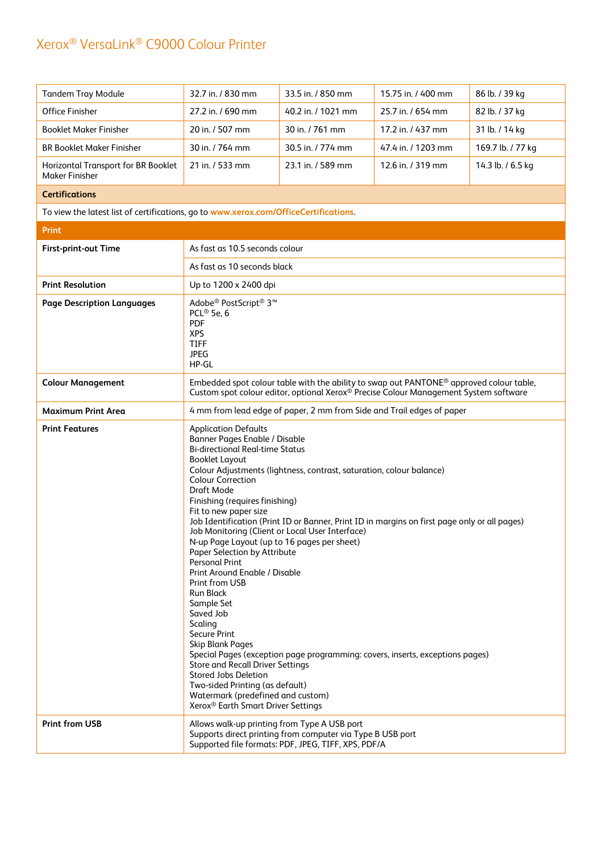| <b>Tandem Tray Module</b>                                                            | 32.7 in. / 830 mm                                                                                                                                                                                                                                                                                                                                                                                                                                                                                                                                                                                                                                                                                                                                                                                                                                                                                                                                                                                                                                  | 33.5 in. / 850 mm                                                                                                                                                                           | 15.75 in. / 400 mm | 86 lb. / 39 kg    |
|--------------------------------------------------------------------------------------|----------------------------------------------------------------------------------------------------------------------------------------------------------------------------------------------------------------------------------------------------------------------------------------------------------------------------------------------------------------------------------------------------------------------------------------------------------------------------------------------------------------------------------------------------------------------------------------------------------------------------------------------------------------------------------------------------------------------------------------------------------------------------------------------------------------------------------------------------------------------------------------------------------------------------------------------------------------------------------------------------------------------------------------------------|---------------------------------------------------------------------------------------------------------------------------------------------------------------------------------------------|--------------------|-------------------|
| <b>Office Finisher</b>                                                               | 27.2 in. / 690 mm                                                                                                                                                                                                                                                                                                                                                                                                                                                                                                                                                                                                                                                                                                                                                                                                                                                                                                                                                                                                                                  | 40.2 in. / 1021 mm                                                                                                                                                                          | 25.7 in. / 654 mm  | 82 lb. / 37 kg    |
| <b>Booklet Maker Finisher</b>                                                        | 20 in. / 507 mm                                                                                                                                                                                                                                                                                                                                                                                                                                                                                                                                                                                                                                                                                                                                                                                                                                                                                                                                                                                                                                    | 30 in. / 761 mm                                                                                                                                                                             | 17.2 in. / 437 mm  | 31 lb. / 14 kg    |
| <b>BR Booklet Maker Finisher</b>                                                     | 30 in. / 764 mm                                                                                                                                                                                                                                                                                                                                                                                                                                                                                                                                                                                                                                                                                                                                                                                                                                                                                                                                                                                                                                    | 30.5 in. / 774 mm                                                                                                                                                                           | 47.4 in. / 1203 mm | 169.7 lb. / 77 kg |
| Horizontal Transport for BR Booklet<br><b>Maker Finisher</b>                         | 21 in. / 533 mm                                                                                                                                                                                                                                                                                                                                                                                                                                                                                                                                                                                                                                                                                                                                                                                                                                                                                                                                                                                                                                    | 23.1 in. / 589 mm                                                                                                                                                                           | 12.6 in. / 319 mm  | 14.3 lb. / 6.5 kg |
| <b>Certifications</b>                                                                |                                                                                                                                                                                                                                                                                                                                                                                                                                                                                                                                                                                                                                                                                                                                                                                                                                                                                                                                                                                                                                                    |                                                                                                                                                                                             |                    |                   |
| To view the latest list of certifications, go to www.xerox.com/OfficeCertifications. |                                                                                                                                                                                                                                                                                                                                                                                                                                                                                                                                                                                                                                                                                                                                                                                                                                                                                                                                                                                                                                                    |                                                                                                                                                                                             |                    |                   |
| <b>Print</b>                                                                         |                                                                                                                                                                                                                                                                                                                                                                                                                                                                                                                                                                                                                                                                                                                                                                                                                                                                                                                                                                                                                                                    |                                                                                                                                                                                             |                    |                   |
| <b>First-print-out Time</b>                                                          | As fast as 10.5 seconds colour                                                                                                                                                                                                                                                                                                                                                                                                                                                                                                                                                                                                                                                                                                                                                                                                                                                                                                                                                                                                                     |                                                                                                                                                                                             |                    |                   |
|                                                                                      | As fast as 10 seconds black                                                                                                                                                                                                                                                                                                                                                                                                                                                                                                                                                                                                                                                                                                                                                                                                                                                                                                                                                                                                                        |                                                                                                                                                                                             |                    |                   |
| <b>Print Resolution</b>                                                              | Up to 1200 x 2400 dpi                                                                                                                                                                                                                                                                                                                                                                                                                                                                                                                                                                                                                                                                                                                                                                                                                                                                                                                                                                                                                              |                                                                                                                                                                                             |                    |                   |
| <b>Page Description Languages</b>                                                    | Adobe <sup>®</sup> PostScript <sup>®</sup> 3 <sup>™</sup><br>PCL <sup>®</sup> 5e, 6<br><b>PDF</b><br><b>XPS</b><br><b>TIFF</b><br><b>JPEG</b><br>$HP-GL$                                                                                                                                                                                                                                                                                                                                                                                                                                                                                                                                                                                                                                                                                                                                                                                                                                                                                           |                                                                                                                                                                                             |                    |                   |
| <b>Colour Management</b>                                                             |                                                                                                                                                                                                                                                                                                                                                                                                                                                                                                                                                                                                                                                                                                                                                                                                                                                                                                                                                                                                                                                    | Embedded spot colour table with the ability to swap out PANTONE <sup>®</sup> approved colour table,<br>Custom spot colour editor, optional Xerox® Precise Colour Management System software |                    |                   |
| <b>Maximum Print Area</b>                                                            |                                                                                                                                                                                                                                                                                                                                                                                                                                                                                                                                                                                                                                                                                                                                                                                                                                                                                                                                                                                                                                                    |                                                                                                                                                                                             |                    |                   |
| <b>Print Features</b>                                                                | 4 mm from lead edge of paper, 2 mm from Side and Trail edges of paper<br><b>Application Defaults</b><br>Banner Pages Enable / Disable<br><b>Bi-directional Real-time Status</b><br><b>Booklet Layout</b><br>Colour Adjustments (lightness, contrast, saturation, colour balance)<br><b>Colour Correction</b><br>Draft Mode<br>Finishing (requires finishing)<br>Fit to new paper size<br>Job Identification (Print ID or Banner, Print ID in margins on first page only or all pages)<br>Job Monitoring (Client or Local User Interface)<br>N-up Page Layout (up to 16 pages per sheet)<br><b>Paper Selection by Attribute</b><br><b>Personal Print</b><br>Print Around Enable / Disable<br>Print from USB<br><b>Run Black</b><br>Sample Set<br>Saved Job<br>Scaling<br>Secure Print<br><b>Skip Blank Pages</b><br>Special Pages (exception page programming: covers, inserts, exceptions pages)<br><b>Store and Recall Driver Settings</b><br><b>Stored Jobs Deletion</b><br>Two-sided Printing (as default)<br>Watermark (predefined and custom) |                                                                                                                                                                                             |                    |                   |
| <b>Print from USB</b>                                                                | Allows walk-up printing from Type A USB port<br>Supports direct printing from computer via Type B USB port<br>Supported file formats: PDF, JPEG, TIFF, XPS, PDF/A                                                                                                                                                                                                                                                                                                                                                                                                                                                                                                                                                                                                                                                                                                                                                                                                                                                                                  |                                                                                                                                                                                             |                    |                   |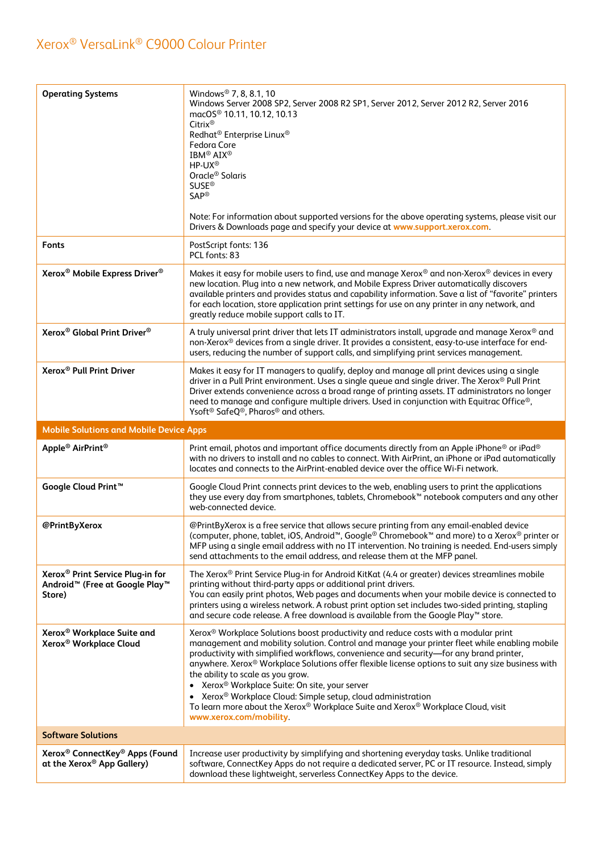| <b>Operating Systems</b>                                                                                         | Windows <sup>®</sup> 7, 8, 8.1, 10<br>Windows Server 2008 SP2, Server 2008 R2 SP1, Server 2012, Server 2012 R2, Server 2016<br>macOS <sup>®</sup> 10.11, 10.12, 10.13<br>Citrix®<br>Redhat <sup>®</sup> Enterprise Linux <sup>®</sup><br>Fedora Core<br><b>IBM® AIX®</b><br>HP-UX®<br>Oracle <sup>®</sup> Solaris<br><b>SUSE®</b><br><b>SAP®</b><br>Note: For information about supported versions for the above operating systems, please visit our<br>Drivers & Downloads page and specify your device at www.support.xerox.com.                                                                                                                                                                          |
|------------------------------------------------------------------------------------------------------------------|-------------------------------------------------------------------------------------------------------------------------------------------------------------------------------------------------------------------------------------------------------------------------------------------------------------------------------------------------------------------------------------------------------------------------------------------------------------------------------------------------------------------------------------------------------------------------------------------------------------------------------------------------------------------------------------------------------------|
| <b>Fonts</b>                                                                                                     | PostScript fonts: 136<br>PCL fonts: 83                                                                                                                                                                                                                                                                                                                                                                                                                                                                                                                                                                                                                                                                      |
| Xerox <sup>®</sup> Mobile Express Driver <sup>®</sup>                                                            | Makes it easy for mobile users to find, use and manage Xerox® and non-Xerox® devices in every<br>new location. Plug into a new network, and Mobile Express Driver automatically discovers<br>available printers and provides status and capability information. Save a list of "favorite" printers<br>for each location, store application print settings for use on any printer in any network, and<br>greatly reduce mobile support calls to IT.                                                                                                                                                                                                                                                          |
| Xerox <sup>®</sup> Global Print Driver <sup>®</sup>                                                              | A truly universal print driver that lets IT administrators install, upgrade and manage Xerox® and<br>non-Xerox® devices from a single driver. It provides a consistent, easy-to-use interface for end-<br>users, reducing the number of support calls, and simplifying print services management.                                                                                                                                                                                                                                                                                                                                                                                                           |
| Xerox <sup>®</sup> Pull Print Driver                                                                             | Makes it easy for IT managers to qualify, deploy and manage all print devices using a single<br>driver in a Pull Print environment. Uses a single queue and single driver. The Xerox® Pull Print<br>Driver extends convenience across a broad range of printing assets. IT administrators no longer<br>need to manage and configure multiple drivers. Used in conjunction with Equitrac Office®,<br>Ysoft <sup>®</sup> SafeQ <sup>®</sup> , Pharos <sup>®</sup> and others.                                                                                                                                                                                                                                 |
| <b>Mobile Solutions and Mobile Device Apps</b>                                                                   |                                                                                                                                                                                                                                                                                                                                                                                                                                                                                                                                                                                                                                                                                                             |
| Apple <sup>®</sup> AirPrint <sup>®</sup>                                                                         |                                                                                                                                                                                                                                                                                                                                                                                                                                                                                                                                                                                                                                                                                                             |
|                                                                                                                  | Print email, photos and important office documents directly from an Apple iPhone <sup>®</sup> or iPad <sup>®</sup><br>with no drivers to install and no cables to connect. With AirPrint, an iPhone or iPad automatically<br>locates and connects to the AirPrint-enabled device over the office Wi-Fi network.                                                                                                                                                                                                                                                                                                                                                                                             |
| Google Cloud Print <sup>™</sup>                                                                                  | Google Cloud Print connects print devices to the web, enabling users to print the applications<br>they use every day from smartphones, tablets, Chromebook <sup>™</sup> notebook computers and any other<br>web-connected device.                                                                                                                                                                                                                                                                                                                                                                                                                                                                           |
| @PrintByXerox                                                                                                    | @PrintByXerox is a free service that allows secure printing from any email-enabled device<br>(computer, phone, tablet, iOS, Android <sup>™</sup> , Google® Chromebook <sup>™</sup> and more) to a Xerox® printer or<br>MFP using a single email address with no IT intervention. No training is needed. End-users simply<br>send attachments to the email address, and release them at the MFP panel.                                                                                                                                                                                                                                                                                                       |
| Xerox <sup>®</sup> Print Service Plug-in for<br>Android <sup>™</sup> (Free at Google Play <sup>™</sup><br>Store) | The Xerox® Print Service Plug-in for Android KitKat (4.4 or greater) devices streamlines mobile<br>printing without third-party apps or additional print drivers.<br>You can easily print photos, Web pages and documents when your mobile device is connected to<br>printers using a wireless network. A robust print option set includes two-sided printing, stapling<br>and secure code release. A free download is available from the Google Play™ store.                                                                                                                                                                                                                                               |
| Xerox <sup>®</sup> Workplace Suite and<br>Xerox <sup>®</sup> Workplace Cloud                                     | Xerox <sup>®</sup> Workplace Solutions boost productivity and reduce costs with a modular print<br>management and mobility solution. Control and manage your printer fleet while enabling mobile<br>productivity with simplified workflows, convenience and security-for any brand printer,<br>anywhere. Xerox <sup>®</sup> Workplace Solutions offer flexible license options to suit any size business with<br>the ability to scale as you grow.<br>• Xerox <sup>®</sup> Workplace Suite: On site, your server<br>• Xerox <sup>®</sup> Workplace Cloud: Simple setup, cloud administration<br>To learn more about the Xerox® Workplace Suite and Xerox® Workplace Cloud, visit<br>www.xerox.com/mobility. |
| <b>Software Solutions</b>                                                                                        |                                                                                                                                                                                                                                                                                                                                                                                                                                                                                                                                                                                                                                                                                                             |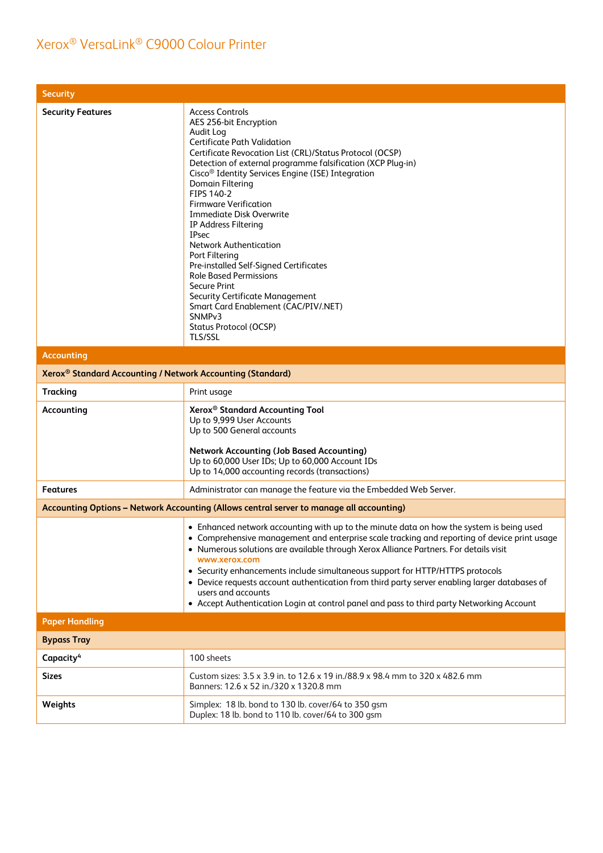| <b>Security</b>                                                                          |                                                                                                                                                                                                                                                                                                                                                                                                                                                                                                                                                                                                                                                                                                                                                       |  |
|------------------------------------------------------------------------------------------|-------------------------------------------------------------------------------------------------------------------------------------------------------------------------------------------------------------------------------------------------------------------------------------------------------------------------------------------------------------------------------------------------------------------------------------------------------------------------------------------------------------------------------------------------------------------------------------------------------------------------------------------------------------------------------------------------------------------------------------------------------|--|
| <b>Security Features</b>                                                                 | <b>Access Controls</b><br>AES 256-bit Encryption<br>Audit Log<br><b>Certificate Path Validation</b><br>Certificate Revocation List (CRL)/Status Protocol (OCSP)<br>Detection of external programme falsification (XCP Plug-in)<br>Cisco <sup>®</sup> Identity Services Engine (ISE) Integration<br>Domain Filtering<br>FIPS 140-2<br><b>Firmware Verification</b><br><b>Immediate Disk Overwrite</b><br>IP Address Filtering<br><b>IPsec</b><br><b>Network Authentication</b><br>Port Filtering<br>Pre-installed Self-Signed Certificates<br><b>Role Based Permissions</b><br><b>Secure Print</b><br>Security Certificate Management<br>Smart Card Enablement (CAC/PIV/.NET)<br>SNMP <sub>v3</sub><br><b>Status Protocol (OCSP)</b><br><b>TLS/SSL</b> |  |
| <b>Accounting</b>                                                                        |                                                                                                                                                                                                                                                                                                                                                                                                                                                                                                                                                                                                                                                                                                                                                       |  |
| Xerox <sup>®</sup> Standard Accounting / Network Accounting (Standard)                   |                                                                                                                                                                                                                                                                                                                                                                                                                                                                                                                                                                                                                                                                                                                                                       |  |
| <b>Tracking</b>                                                                          | Print usage                                                                                                                                                                                                                                                                                                                                                                                                                                                                                                                                                                                                                                                                                                                                           |  |
| Accounting                                                                               | Xerox <sup>®</sup> Standard Accounting Tool<br>Up to 9,999 User Accounts<br>Up to 500 General accounts<br><b>Network Accounting (Job Based Accounting)</b><br>Up to 60,000 User IDs; Up to 60,000 Account IDs<br>Up to 14,000 accounting records (transactions)                                                                                                                                                                                                                                                                                                                                                                                                                                                                                       |  |
| <b>Features</b>                                                                          | Administrator can manage the feature via the Embedded Web Server.                                                                                                                                                                                                                                                                                                                                                                                                                                                                                                                                                                                                                                                                                     |  |
| Accounting Options - Network Accounting (Allows central server to manage all accounting) |                                                                                                                                                                                                                                                                                                                                                                                                                                                                                                                                                                                                                                                                                                                                                       |  |
|                                                                                          | • Enhanced network accounting with up to the minute data on how the system is being used<br>• Comprehensive management and enterprise scale tracking and reporting of device print usage<br>• Numerous solutions are available through Xerox Alliance Partners. For details visit<br>www.xerox.com<br>• Security enhancements include simultaneous support for HTTP/HTTPS protocols<br>• Device requests account authentication from third party server enabling larger databases of<br>users and accounts<br>• Accept Authentication Login at control panel and pass to third party Networking Account                                                                                                                                               |  |
| <b>Paper Handling</b>                                                                    |                                                                                                                                                                                                                                                                                                                                                                                                                                                                                                                                                                                                                                                                                                                                                       |  |
| <b>Bypass Tray</b>                                                                       |                                                                                                                                                                                                                                                                                                                                                                                                                                                                                                                                                                                                                                                                                                                                                       |  |
| Capacity <sup>4</sup>                                                                    | 100 sheets                                                                                                                                                                                                                                                                                                                                                                                                                                                                                                                                                                                                                                                                                                                                            |  |
| <b>Sizes</b>                                                                             | Custom sizes: 3.5 x 3.9 in. to 12.6 x 19 in./88.9 x 98.4 mm to 320 x 482.6 mm<br>Banners: 12.6 x 52 in./320 x 1320.8 mm                                                                                                                                                                                                                                                                                                                                                                                                                                                                                                                                                                                                                               |  |
| Weights                                                                                  | Simplex: 18 lb. bond to 130 lb. cover/64 to 350 gsm<br>Duplex: 18 lb. bond to 110 lb. cover/64 to 300 gsm                                                                                                                                                                                                                                                                                                                                                                                                                                                                                                                                                                                                                                             |  |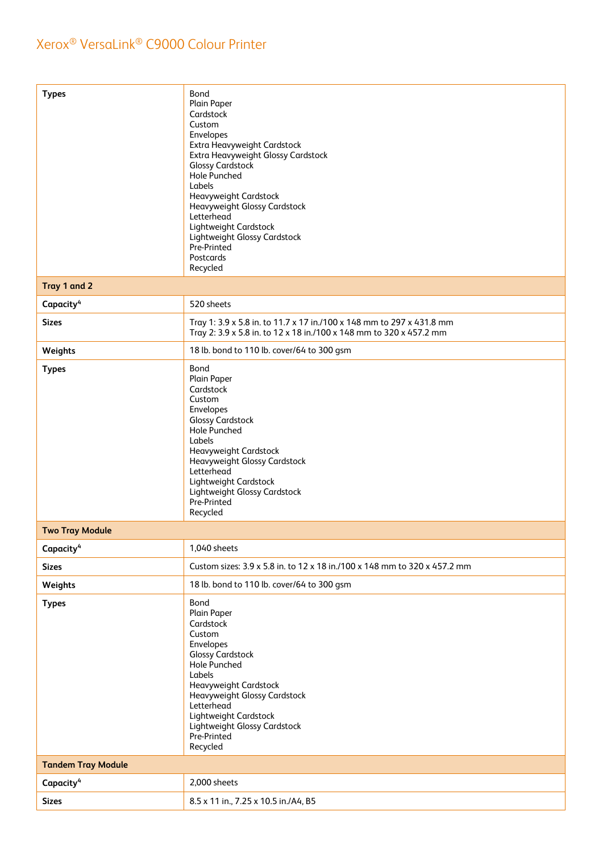| <b>Types</b>              | Bond<br>Plain Paper<br>Cardstock<br>Custom<br>Envelopes<br>Extra Heavyweight Cardstock<br>Extra Heavyweight Glossy Cardstock<br>Glossy Cardstock<br><b>Hole Punched</b><br>Labels<br><b>Heavyweight Cardstock</b><br>Heavyweight Glossy Cardstock<br>Letterhead<br>Lightweight Cardstock<br>Lightweight Glossy Cardstock<br>Pre-Printed<br>Postcards<br>Recycled |
|---------------------------|------------------------------------------------------------------------------------------------------------------------------------------------------------------------------------------------------------------------------------------------------------------------------------------------------------------------------------------------------------------|
| Tray 1 and 2              |                                                                                                                                                                                                                                                                                                                                                                  |
| Capacity <sup>4</sup>     | 520 sheets                                                                                                                                                                                                                                                                                                                                                       |
| <b>Sizes</b>              | Tray 1: 3.9 x 5.8 in. to 11.7 x 17 in./100 x 148 mm to 297 x 431.8 mm<br>Tray 2: 3.9 x 5.8 in. to 12 x 18 in./100 x 148 mm to 320 x 457.2 mm                                                                                                                                                                                                                     |
| Weights                   | 18 lb. bond to 110 lb. cover/64 to 300 gsm                                                                                                                                                                                                                                                                                                                       |
| <b>Types</b>              | Bond<br>Plain Paper<br>Cardstock<br>Custom<br>Envelopes<br><b>Glossy Cardstock</b><br><b>Hole Punched</b><br>Labels<br><b>Heavyweight Cardstock</b><br>Heavyweight Glossy Cardstock<br>Letterhead<br>Lightweight Cardstock<br>Lightweight Glossy Cardstock<br>Pre-Printed<br>Recycled                                                                            |
| <b>Two Tray Module</b>    |                                                                                                                                                                                                                                                                                                                                                                  |
| Capacity <sup>4</sup>     | 1,040 sheets                                                                                                                                                                                                                                                                                                                                                     |
| <b>Sizes</b>              | Custom sizes: 3.9 x 5.8 in. to 12 x 18 in./100 x 148 mm to 320 x 457.2 mm                                                                                                                                                                                                                                                                                        |
| Weights                   | 18 lb. bond to 110 lb. cover/64 to 300 gsm                                                                                                                                                                                                                                                                                                                       |
| <b>Types</b>              | Bond<br>Plain Paper<br>Cardstock<br>Custom<br>Envelopes<br><b>Glossy Cardstock</b><br>Hole Punched<br>Labels<br><b>Heavyweight Cardstock</b><br>Heavyweight Glossy Cardstock<br>Letterhead<br>Lightweight Cardstock<br>Lightweight Glossy Cardstock<br>Pre-Printed<br>Recycled                                                                                   |
| <b>Tandem Tray Module</b> |                                                                                                                                                                                                                                                                                                                                                                  |
| Capacity <sup>4</sup>     | 2,000 sheets                                                                                                                                                                                                                                                                                                                                                     |
| <b>Sizes</b>              | 8.5 x 11 in., 7.25 x 10.5 in./A4, B5                                                                                                                                                                                                                                                                                                                             |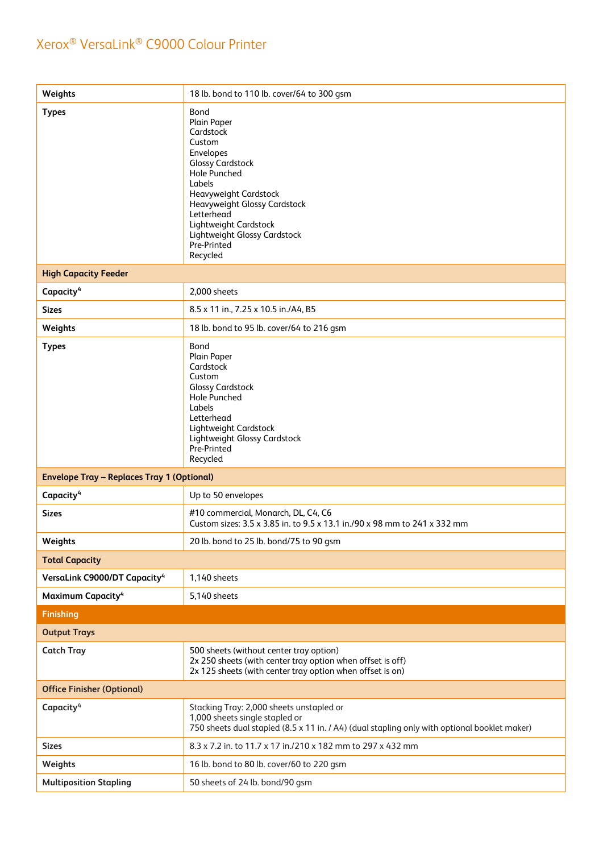| Weights                                           | 18 lb. bond to 110 lb. cover/64 to 300 gsm                                                                                                                                                                                                                                            |
|---------------------------------------------------|---------------------------------------------------------------------------------------------------------------------------------------------------------------------------------------------------------------------------------------------------------------------------------------|
| <b>Types</b>                                      | Bond<br>Plain Paper<br>Cardstock<br>Custom<br>Envelopes<br><b>Glossy Cardstock</b><br><b>Hole Punched</b><br>Labels<br>Heavyweight Cardstock<br><b>Heavyweight Glossy Cardstock</b><br>Letterhead<br>Lightweight Cardstock<br>Lightweight Glossy Cardstock<br>Pre-Printed<br>Recycled |
| <b>High Capacity Feeder</b>                       |                                                                                                                                                                                                                                                                                       |
| Capacity <sup>4</sup>                             | 2,000 sheets                                                                                                                                                                                                                                                                          |
| <b>Sizes</b>                                      | 8.5 x 11 in., 7.25 x 10.5 in./A4, B5                                                                                                                                                                                                                                                  |
| Weights                                           | 18 lb. bond to 95 lb. cover/64 to 216 gsm                                                                                                                                                                                                                                             |
| <b>Types</b>                                      | Bond<br>Plain Paper<br>Cardstock<br>Custom<br><b>Glossy Cardstock</b><br><b>Hole Punched</b><br>Labels<br>Letterhead<br>Lightweight Cardstock<br>Lightweight Glossy Cardstock<br>Pre-Printed<br>Recycled                                                                              |
| <b>Envelope Tray - Replaces Tray 1 (Optional)</b> |                                                                                                                                                                                                                                                                                       |
| Capacity <sup>4</sup>                             | Up to 50 envelopes                                                                                                                                                                                                                                                                    |
| <b>Sizes</b>                                      | #10 commercial, Monarch, DL, C4, C6<br>Custom sizes: 3.5 x 3.85 in. to 9.5 x 13.1 in./90 x 98 mm to 241 x 332 mm                                                                                                                                                                      |
| Weights                                           | 20 lb. bond to 25 lb. bond/75 to 90 gsm                                                                                                                                                                                                                                               |
| <b>Total Capacity</b>                             |                                                                                                                                                                                                                                                                                       |
| VersaLink C9000/DT Capacity <sup>4</sup>          | 1,140 sheets                                                                                                                                                                                                                                                                          |
| Maximum Capacity <sup>4</sup>                     | 5,140 sheets                                                                                                                                                                                                                                                                          |
| <b>Finishing</b>                                  |                                                                                                                                                                                                                                                                                       |
| <b>Output Trays</b>                               |                                                                                                                                                                                                                                                                                       |
| <b>Catch Tray</b>                                 | 500 sheets (without center tray option)<br>2x 250 sheets (with center tray option when offset is off)<br>2x 125 sheets (with center tray option when offset is on)                                                                                                                    |
| <b>Office Finisher (Optional)</b>                 |                                                                                                                                                                                                                                                                                       |
| Capacity <sup>4</sup>                             | Stacking Tray: 2,000 sheets unstapled or<br>1,000 sheets single stapled or<br>750 sheets dual stapled (8.5 x 11 in. / A4) (dual stapling only with optional booklet maker)                                                                                                            |
| <b>Sizes</b>                                      | 8.3 x 7.2 in. to 11.7 x 17 in./210 x 182 mm to 297 x 432 mm                                                                                                                                                                                                                           |
| Weights                                           | 16 lb. bond to 80 lb. cover/60 to 220 gsm                                                                                                                                                                                                                                             |
| <b>Multiposition Stapling</b>                     | 50 sheets of 24 lb. bond/90 gsm                                                                                                                                                                                                                                                       |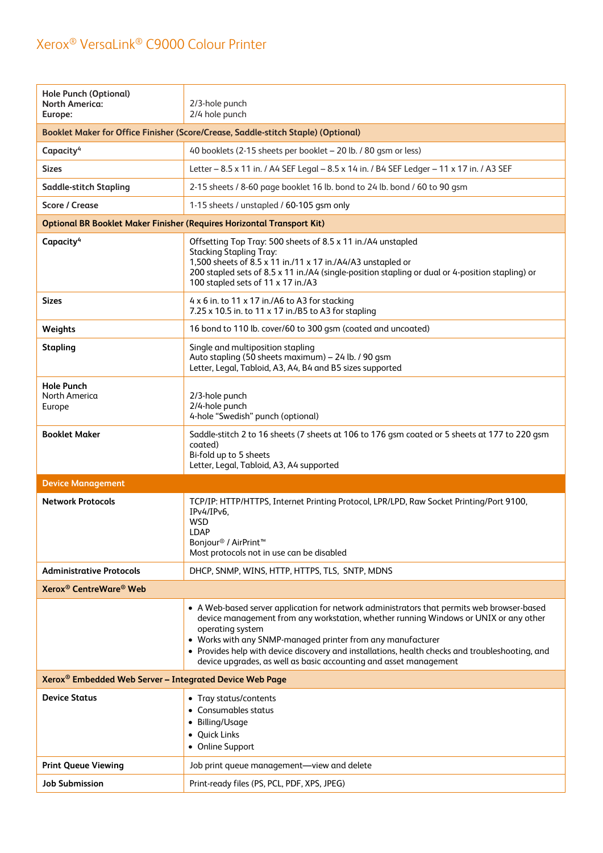| <b>Hole Punch (Optional)</b><br><b>North America:</b><br>Europe:                  | 2/3-hole punch<br>2/4 hole punch                                                                                                                                                                                                                                                                                                                                                                                                              |  |  |
|-----------------------------------------------------------------------------------|-----------------------------------------------------------------------------------------------------------------------------------------------------------------------------------------------------------------------------------------------------------------------------------------------------------------------------------------------------------------------------------------------------------------------------------------------|--|--|
| Booklet Maker for Office Finisher (Score/Crease, Saddle-stitch Staple) (Optional) |                                                                                                                                                                                                                                                                                                                                                                                                                                               |  |  |
| Capacity <sup>4</sup>                                                             | 40 booklets (2-15 sheets per booklet - 20 lb. / 80 gsm or less)                                                                                                                                                                                                                                                                                                                                                                               |  |  |
| <b>Sizes</b>                                                                      | Letter - 8.5 x 11 in. / A4 SEF Legal - 8.5 x 14 in. / B4 SEF Ledger - 11 x 17 in. / A3 SEF                                                                                                                                                                                                                                                                                                                                                    |  |  |
| <b>Saddle-stitch Stapling</b>                                                     | 2-15 sheets / 8-60 page booklet 16 lb. bond to 24 lb. bond / 60 to 90 gsm                                                                                                                                                                                                                                                                                                                                                                     |  |  |
| <b>Score / Crease</b>                                                             | 1-15 sheets / unstapled / 60-105 gsm only                                                                                                                                                                                                                                                                                                                                                                                                     |  |  |
|                                                                                   | <b>Optional BR Booklet Maker Finisher (Requires Horizontal Transport Kit)</b>                                                                                                                                                                                                                                                                                                                                                                 |  |  |
| Capacity <sup>4</sup>                                                             | Offsetting Top Tray: 500 sheets of 8.5 x 11 in./A4 unstapled<br><b>Stacking Stapling Tray:</b><br>1,500 sheets of 8.5 x 11 in./11 x 17 in./A4/A3 unstapled or<br>200 stapled sets of 8.5 x 11 in./A4 (single-position stapling or dual or 4-position stapling) or<br>100 stapled sets of 11 x 17 in./A3                                                                                                                                       |  |  |
| <b>Sizes</b>                                                                      | $4 \times 6$ in. to 11 x 17 in./A6 to A3 for stacking<br>7.25 x 10.5 in. to 11 x 17 in./B5 to A3 for stapling                                                                                                                                                                                                                                                                                                                                 |  |  |
| Weights                                                                           | 16 bond to 110 lb. cover/60 to 300 qsm (coated and uncoated)                                                                                                                                                                                                                                                                                                                                                                                  |  |  |
| <b>Stapling</b>                                                                   | Single and multiposition stapling<br>Auto stapling (50 sheets maximum) - 24 lb. / 90 gsm<br>Letter, Legal, Tabloid, A3, A4, B4 and B5 sizes supported                                                                                                                                                                                                                                                                                         |  |  |
| <b>Hole Punch</b><br>North America<br>Europe                                      | 2/3-hole punch<br>2/4-hole punch<br>4-hole "Swedish" punch (optional)                                                                                                                                                                                                                                                                                                                                                                         |  |  |
| <b>Booklet Maker</b>                                                              | Saddle-stitch 2 to 16 sheets (7 sheets at 106 to 176 gsm coated or 5 sheets at 177 to 220 gsm<br>coated)<br>Bi-fold up to 5 sheets<br>Letter, Legal, Tabloid, A3, A4 supported                                                                                                                                                                                                                                                                |  |  |
| <b>Device Management</b>                                                          |                                                                                                                                                                                                                                                                                                                                                                                                                                               |  |  |
| <b>Network Protocols</b>                                                          | TCP/IP: HTTP/HTTPS, Internet Printing Protocol, LPR/LPD, Raw Socket Printing/Port 9100,<br>IPv4/IPv6,<br><b>WSD</b><br><b>LDAP</b><br>Bonjour <sup>®</sup> / AirPrint <sup>™</sup><br>Most protocols not in use can be disabled                                                                                                                                                                                                               |  |  |
| <b>Administrative Protocols</b>                                                   | DHCP, SNMP, WINS, HTTP, HTTPS, TLS, SNTP, MDNS                                                                                                                                                                                                                                                                                                                                                                                                |  |  |
| Xerox <sup>®</sup> CentreWare <sup>®</sup> Web                                    |                                                                                                                                                                                                                                                                                                                                                                                                                                               |  |  |
|                                                                                   | • A Web-based server application for network administrators that permits web browser-based<br>device management from any workstation, whether running Windows or UNIX or any other<br>operating system<br>• Works with any SNMP-managed printer from any manufacturer<br>• Provides help with device discovery and installations, health checks and troubleshooting, and<br>device upgrades, as well as basic accounting and asset management |  |  |
| Xerox <sup>®</sup> Embedded Web Server - Integrated Device Web Page               |                                                                                                                                                                                                                                                                                                                                                                                                                                               |  |  |
| <b>Device Status</b>                                                              | • Tray status/contents<br>• Consumables status<br>• Billing/Usage<br>• Quick Links<br>• Online Support                                                                                                                                                                                                                                                                                                                                        |  |  |
| <b>Print Queue Viewing</b>                                                        | Job print queue management-view and delete                                                                                                                                                                                                                                                                                                                                                                                                    |  |  |
| <b>Job Submission</b>                                                             | Print-ready files (PS, PCL, PDF, XPS, JPEG)                                                                                                                                                                                                                                                                                                                                                                                                   |  |  |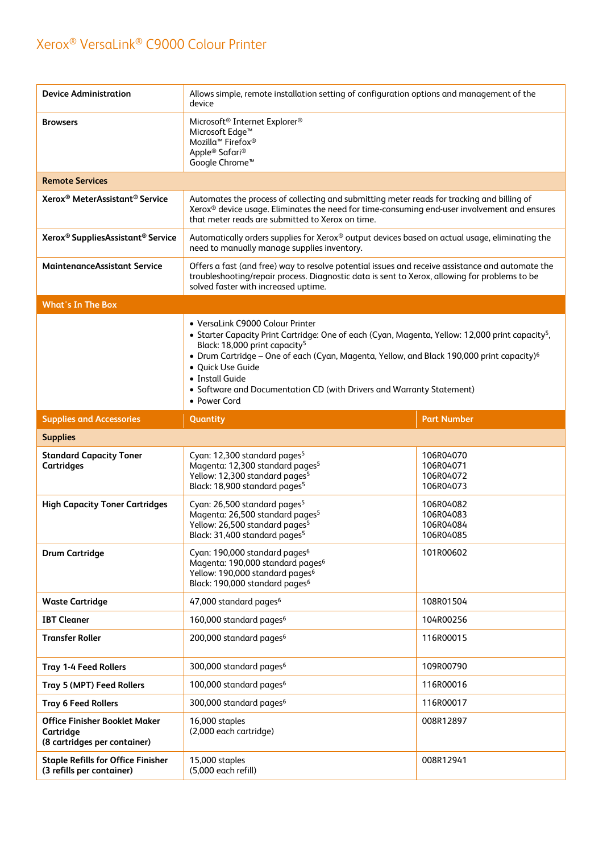| <b>Device Administration</b>                                                      | Allows simple, remote installation setting of configuration options and management of the<br>device                                                                                                                                                                                                                                                                                                                                     |                                                  |  |
|-----------------------------------------------------------------------------------|-----------------------------------------------------------------------------------------------------------------------------------------------------------------------------------------------------------------------------------------------------------------------------------------------------------------------------------------------------------------------------------------------------------------------------------------|--------------------------------------------------|--|
| <b>Browsers</b>                                                                   | Microsoft <sup>®</sup> Internet Explorer <sup>®</sup><br>Microsoft Edge <sup>™</sup><br>Mozilla <sup>™</sup> Firefox <sup>®</sup><br>Apple <sup>®</sup> Safari <sup>®</sup><br>Google Chrome <sup>™</sup>                                                                                                                                                                                                                               |                                                  |  |
| <b>Remote Services</b>                                                            |                                                                                                                                                                                                                                                                                                                                                                                                                                         |                                                  |  |
| Xerox <sup>®</sup> MeterAssistant <sup>®</sup> Service                            | Automates the process of collecting and submitting meter reads for tracking and billing of<br>Xerox® device usage. Eliminates the need for time-consuming end-user involvement and ensures<br>that meter reads are submitted to Xerox on time.                                                                                                                                                                                          |                                                  |  |
| Xerox <sup>®</sup> SuppliesAssistant <sup>®</sup> Service                         | Automatically orders supplies for Xerox <sup>®</sup> output devices based on actual usage, eliminating the<br>need to manually manage supplies inventory.                                                                                                                                                                                                                                                                               |                                                  |  |
| MaintenanceAssistant Service                                                      | Offers a fast (and free) way to resolve potential issues and receive assistance and automate the<br>troubleshooting/repair process. Diagnostic data is sent to Xerox, allowing for problems to be<br>solved faster with increased uptime.                                                                                                                                                                                               |                                                  |  |
| <b>What's In The Box</b>                                                          |                                                                                                                                                                                                                                                                                                                                                                                                                                         |                                                  |  |
|                                                                                   | • VersaLink C9000 Colour Printer<br>• Starter Capacity Print Cartridge: One of each (Cyan, Magenta, Yellow: 12,000 print capacity <sup>5</sup> ,<br>Black: 18,000 print capacity <sup>5</sup><br>• Drum Cartridge - One of each (Cyan, Magenta, Yellow, and Black 190,000 print capacity) <sup>6</sup><br>· Quick Use Guide<br>• Install Guide<br>• Software and Documentation CD (with Drivers and Warranty Statement)<br>• Power Cord |                                                  |  |
| <b>Supplies and Accessories</b>                                                   | Quantity                                                                                                                                                                                                                                                                                                                                                                                                                                | <b>Part Number</b>                               |  |
|                                                                                   |                                                                                                                                                                                                                                                                                                                                                                                                                                         |                                                  |  |
| <b>Supplies</b>                                                                   |                                                                                                                                                                                                                                                                                                                                                                                                                                         |                                                  |  |
| <b>Standard Capacity Toner</b><br><b>Cartridges</b>                               | Cyan: 12,300 standard pages <sup>5</sup><br>Magenta: 12,300 standard pages <sup>5</sup><br>Yellow: 12,300 standard pages <sup>5</sup><br>Black: 18,900 standard pages <sup>5</sup>                                                                                                                                                                                                                                                      | 106R04070<br>106R04071<br>106R04072<br>106R04073 |  |
| <b>High Capacity Toner Cartridges</b>                                             | Cyan: 26,500 standard pages <sup>5</sup><br>Magenta: 26,500 standard pages <sup>5</sup><br>Yellow: 26,500 standard pages <sup>5</sup><br>Black: 31,400 standard pages <sup>5</sup>                                                                                                                                                                                                                                                      | 106R04082<br>106R04083<br>106R04084<br>106R04085 |  |
| <b>Drum Cartridge</b>                                                             | Cyan: 190,000 standard pages <sup>6</sup><br>Magenta: 190,000 standard pages <sup>6</sup><br>Yellow: 190,000 standard pages <sup>6</sup><br>Black: 190,000 standard pages <sup>6</sup>                                                                                                                                                                                                                                                  | 101R00602                                        |  |
| <b>Waste Cartridge</b>                                                            | 47,000 standard pages <sup>6</sup>                                                                                                                                                                                                                                                                                                                                                                                                      | 108R01504                                        |  |
| <b>IBT Cleaner</b>                                                                | 160,000 standard pages <sup>6</sup>                                                                                                                                                                                                                                                                                                                                                                                                     | 104R00256                                        |  |
| <b>Transfer Roller</b>                                                            | 200,000 standard pages <sup>6</sup>                                                                                                                                                                                                                                                                                                                                                                                                     | 116R00015                                        |  |
| <b>Tray 1-4 Feed Rollers</b>                                                      | 300,000 standard pages <sup>6</sup>                                                                                                                                                                                                                                                                                                                                                                                                     | 109R00790                                        |  |
| Tray 5 (MPT) Feed Rollers                                                         | 100,000 standard pages <sup>6</sup>                                                                                                                                                                                                                                                                                                                                                                                                     | 116R00016                                        |  |
| <b>Tray 6 Feed Rollers</b>                                                        | 300,000 standard pages <sup>6</sup>                                                                                                                                                                                                                                                                                                                                                                                                     | 116R00017                                        |  |
| <b>Office Finisher Booklet Maker</b><br>Cartridge<br>(8 cartridges per container) | 16,000 staples<br>(2,000 each cartridge)                                                                                                                                                                                                                                                                                                                                                                                                | 008R12897                                        |  |